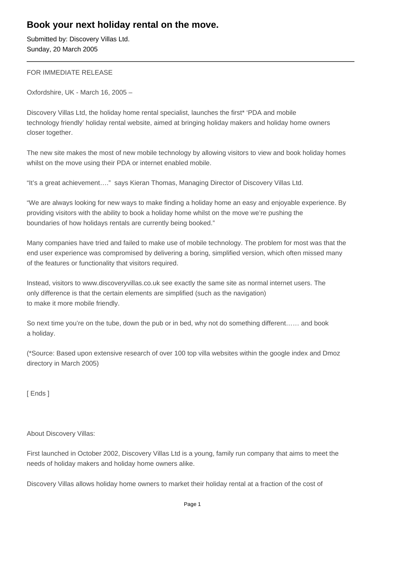## **Book your next holiday rental on the move.**

Submitted by: Discovery Villas Ltd. Sunday, 20 March 2005

FOR IMMEDIATE RELEASE

Oxfordshire, UK - March 16, 2005 –

Discovery Villas Ltd, the holiday home rental specialist, launches the first\* 'PDA and mobile technology friendly' holiday rental website, aimed at bringing holiday makers and holiday home owners closer together.

The new site makes the most of new mobile technology by allowing visitors to view and book holiday homes whilst on the move using their PDA or internet enabled mobile.

"It's a great achievement…." says Kieran Thomas, Managing Director of Discovery Villas Ltd.

"We are always looking for new ways to make finding a holiday home an easy and enjoyable experience. By providing visitors with the ability to book a holiday home whilst on the move we're pushing the boundaries of how holidays rentals are currently being booked."

Many companies have tried and failed to make use of mobile technology. The problem for most was that the end user experience was compromised by delivering a boring, simplified version, which often missed many of the features or functionality that visitors required.

Instead, visitors to www.discoveryvillas.co.uk see exactly the same site as normal internet users. The only difference is that the certain elements are simplified (such as the navigation) to make it more mobile friendly.

So next time you're on the tube, down the pub or in bed, why not do something different…… and book a holiday.

(\*Source: Based upon extensive research of over 100 top villa websites within the google index and Dmoz directory in March 2005)

[ Ends ]

About Discovery Villas:

First launched in October 2002, Discovery Villas Ltd is a young, family run company that aims to meet the needs of holiday makers and holiday home owners alike.

Discovery Villas allows holiday home owners to market their holiday rental at a fraction of the cost of